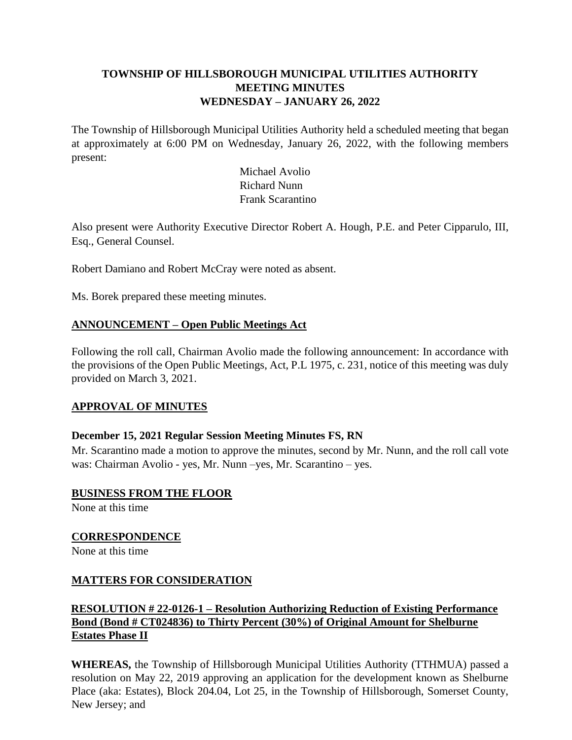# **TOWNSHIP OF HILLSBOROUGH MUNICIPAL UTILITIES AUTHORITY MEETING MINUTES WEDNESDAY – JANUARY 26, 2022**

The Township of Hillsborough Municipal Utilities Authority held a scheduled meeting that began at approximately at 6:00 PM on Wednesday, January 26, 2022, with the following members present:

> Michael Avolio Richard Nunn Frank Scarantino

Also present were Authority Executive Director Robert A. Hough, P.E. and Peter Cipparulo, III, Esq., General Counsel.

Robert Damiano and Robert McCray were noted as absent.

Ms. Borek prepared these meeting minutes.

## **ANNOUNCEMENT – Open Public Meetings Act**

Following the roll call, Chairman Avolio made the following announcement: In accordance with the provisions of the Open Public Meetings, Act, P.L 1975, c. 231, notice of this meeting was duly provided on March 3, 2021.

## **APPROVAL OF MINUTES**

## **December 15, 2021 Regular Session Meeting Minutes FS, RN**

Mr. Scarantino made a motion to approve the minutes, second by Mr. Nunn, and the roll call vote was: Chairman Avolio - yes, Mr. Nunn –yes, Mr. Scarantino – yes.

**BUSINESS FROM THE FLOOR**

None at this time

**CORRESPONDENCE**

None at this time

## **MATTERS FOR CONSIDERATION**

## **RESOLUTION # 22-0126-1 – Resolution Authorizing Reduction of Existing Performance Bond (Bond # CT024836) to Thirty Percent (30%) of Original Amount for Shelburne Estates Phase II**

**WHEREAS,** the Township of Hillsborough Municipal Utilities Authority (TTHMUA) passed a resolution on May 22, 2019 approving an application for the development known as Shelburne Place (aka: Estates), Block 204.04, Lot 25, in the Township of Hillsborough, Somerset County, New Jersey; and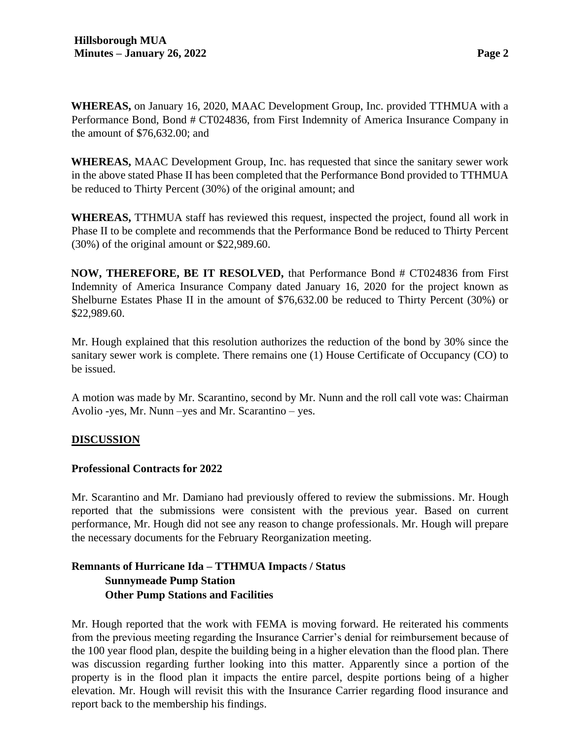**WHEREAS,** on January 16, 2020, MAAC Development Group, Inc. provided TTHMUA with a Performance Bond, Bond # CT024836, from First Indemnity of America Insurance Company in the amount of \$76,632.00; and

**WHEREAS,** MAAC Development Group, Inc. has requested that since the sanitary sewer work in the above stated Phase II has been completed that the Performance Bond provided to TTHMUA be reduced to Thirty Percent (30%) of the original amount; and

**WHEREAS,** TTHMUA staff has reviewed this request, inspected the project, found all work in Phase II to be complete and recommends that the Performance Bond be reduced to Thirty Percent (30%) of the original amount or \$22,989.60.

**NOW, THEREFORE, BE IT RESOLVED,** that Performance Bond # CT024836 from First Indemnity of America Insurance Company dated January 16, 2020 for the project known as Shelburne Estates Phase II in the amount of \$76,632.00 be reduced to Thirty Percent (30%) or \$22,989.60.

Mr. Hough explained that this resolution authorizes the reduction of the bond by 30% since the sanitary sewer work is complete. There remains one (1) House Certificate of Occupancy (CO) to be issued.

A motion was made by Mr. Scarantino, second by Mr. Nunn and the roll call vote was: Chairman Avolio -yes, Mr. Nunn –yes and Mr. Scarantino – yes.

## **DISCUSSION**

#### **Professional Contracts for 2022**

Mr. Scarantino and Mr. Damiano had previously offered to review the submissions. Mr. Hough reported that the submissions were consistent with the previous year. Based on current performance, Mr. Hough did not see any reason to change professionals. Mr. Hough will prepare the necessary documents for the February Reorganization meeting.

# **Remnants of Hurricane Ida – TTHMUA Impacts / Status Sunnymeade Pump Station Other Pump Stations and Facilities**

Mr. Hough reported that the work with FEMA is moving forward. He reiterated his comments from the previous meeting regarding the Insurance Carrier's denial for reimbursement because of the 100 year flood plan, despite the building being in a higher elevation than the flood plan. There was discussion regarding further looking into this matter. Apparently since a portion of the property is in the flood plan it impacts the entire parcel, despite portions being of a higher elevation. Mr. Hough will revisit this with the Insurance Carrier regarding flood insurance and report back to the membership his findings.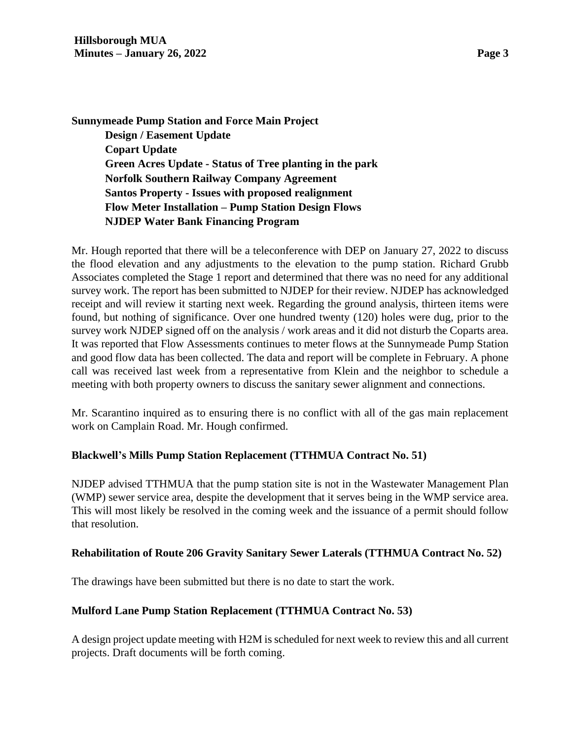**Sunnymeade Pump Station and Force Main Project Design / Easement Update Copart Update Green Acres Update - Status of Tree planting in the park Norfolk Southern Railway Company Agreement Santos Property - Issues with proposed realignment Flow Meter Installation – Pump Station Design Flows NJDEP Water Bank Financing Program**

Mr. Hough reported that there will be a teleconference with DEP on January 27, 2022 to discuss the flood elevation and any adjustments to the elevation to the pump station. Richard Grubb Associates completed the Stage 1 report and determined that there was no need for any additional survey work. The report has been submitted to NJDEP for their review. NJDEP has acknowledged receipt and will review it starting next week. Regarding the ground analysis, thirteen items were found, but nothing of significance. Over one hundred twenty (120) holes were dug, prior to the survey work NJDEP signed off on the analysis / work areas and it did not disturb the Coparts area. It was reported that Flow Assessments continues to meter flows at the Sunnymeade Pump Station and good flow data has been collected. The data and report will be complete in February. A phone call was received last week from a representative from Klein and the neighbor to schedule a meeting with both property owners to discuss the sanitary sewer alignment and connections.

Mr. Scarantino inquired as to ensuring there is no conflict with all of the gas main replacement work on Camplain Road. Mr. Hough confirmed.

## **Blackwell's Mills Pump Station Replacement (TTHMUA Contract No. 51)**

NJDEP advised TTHMUA that the pump station site is not in the Wastewater Management Plan (WMP) sewer service area, despite the development that it serves being in the WMP service area. This will most likely be resolved in the coming week and the issuance of a permit should follow that resolution.

#### **Rehabilitation of Route 206 Gravity Sanitary Sewer Laterals (TTHMUA Contract No. 52)**

The drawings have been submitted but there is no date to start the work.

#### **Mulford Lane Pump Station Replacement (TTHMUA Contract No. 53)**

A design project update meeting with H2M is scheduled for next week to review this and all current projects. Draft documents will be forth coming.